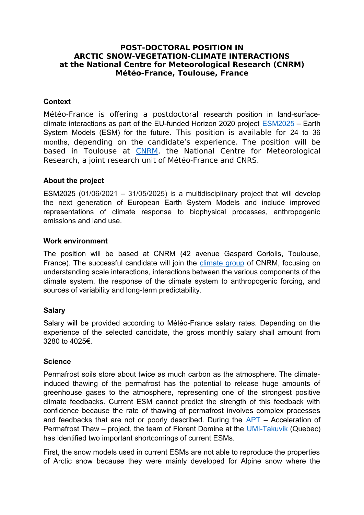# **POST-DOCTORAL POSITION IN ARCTIC SNOW-VEGETATION-CLIMATE INTERACTIONS at the National Centre for Meteorological Research (CNRM) Météo-France, Toulouse, France**

## **Context**

Météo-France is offering a postdoctoral research position in land-surfaceclimate interactions as part of the EU-funded Horizon 2020 project [ESM2025](https://www.google.com/url?sa=t&rct=j&q=&esrc=s&source=web&cd=&ved=2ahUKEwib7pKnv_vwAhWQxIUKHVlWB0AQFnoECAYQAA&url=http%3A%2F%2Fwww.umr-cnrm.fr%2FIMG%2Fpdf%2Fesm2025-submitted-proposal-sep-210687566.pdf&usg=AOvVaw2wLa2XO3nOoyNKMqqaB2lz) – Earth System Models (ESM) for the future. This position is available for 24 to 36 months, depending on the candidate's experience. The position will be based in Toulouse at [CNRM,](http://www.umr-cnrm.fr/?lang=en) the National Centre for Meteorological Research, a joint research unit of Météo-France and CNRS.

# **About the project**

ESM2025 (01/06/2021 – 31/05/2025) is a multidisciplinary project that will develop the next generation of European Earth System Models and include improved representations of climate response to biophysical processes, anthropogenic emissions and land use.

#### **Work environment**

The position will be based at CNRM (42 avenue Gaspard Coriolis, Toulouse, France). The successful candidate will join the [climate group](https://www.umrcnrm.fr/spip.php?rubrique89&lang=en) of CNRM, focusing on understanding scale interactions, interactions between the various components of the climate system, the response of the climate system to anthropogenic forcing, and sources of variability and long-term predictability.

### **Salary**

Salary will be provided according to Météo-France salary rates. Depending on the experience of the selected candidate, the gross monthly salary shall amount from 3280 to 4025€.

### **Science**

Permafrost soils store about twice as much carbon as the atmosphere. The climateinduced thawing of the permafrost has the potential to release huge amounts of greenhouse gases to the atmosphere, representing one of the strongest positive climate feedbacks. Current ESM cannot predict the strength of this feedback with confidence because the rate of thawing of permafrost involves complex processes and feedbacks that are not or poorly described. During the [APT](http://www.apt-permafrost-research.net/en/context.php) – Acceleration of Permafrost Thaw – project, the team of Florent Domine at the [UMI-Takuvik](http://www.takuvik.ulaval.ca/index-fr.php) (Quebec) has identified two important shortcomings of current ESMs.

First, the snow models used in current ESMs are not able to reproduce the properties of Arctic snow because they were mainly developed for Alpine snow where the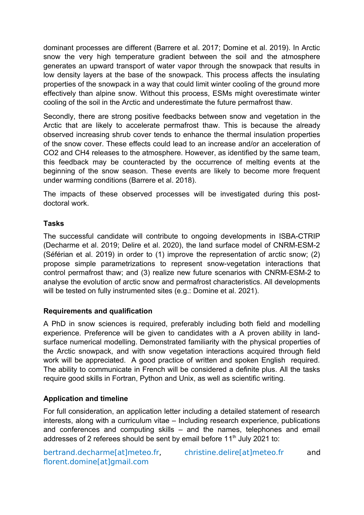dominant processes are different (Barrere et al. 2017; Domine et al. 2019). In Arctic snow the very high temperature gradient between the soil and the atmosphere generates an upward transport of water vapor through the snowpack that results in low density layers at the base of the snowpack. This process affects the insulating properties of the snowpack in a way that could limit winter cooling of the ground more effectively than alpine snow. Without this process, ESMs might overestimate winter cooling of the soil in the Arctic and underestimate the future permafrost thaw.

Secondly, there are strong positive feedbacks between snow and vegetation in the Arctic that are likely to accelerate permafrost thaw. This is because the already observed increasing shrub cover tends to enhance the thermal insulation properties of the snow cover. These effects could lead to an increase and/or an acceleration of CO2 and CH4 releases to the atmosphere. However, as identified by the same team, this feedback may be counteracted by the occurrence of melting events at the beginning of the snow season. These events are likely to become more frequent under warming conditions (Barrere et al. 2018).

The impacts of these observed processes will be investigated during this postdoctoral work.

# **Tasks**

The successful candidate will contribute to ongoing developments in ISBA-CTRIP (Decharme et al. 2019; Delire et al. 2020), the land surface model of CNRM-ESM-2 (Séférian et al. 2019) in order to (1) improve the representation of arctic snow; (2) propose simple parametrizations to represent snow-vegetation interactions that control permafrost thaw; and (3) realize new future scenarios with CNRM-ESM-2 to analyse the evolution of arctic snow and permafrost characteristics. All developments will be tested on fully instrumented sites (e.g.: Domine et al. 2021).

# **Requirements and qualification**

A PhD in snow sciences is required, preferably including both field and modelling experience. Preference will be given to candidates with a A proven ability in landsurface numerical modelling. Demonstrated familiarity with the physical properties of the Arctic snowpack, and with snow vegetation interactions acquired through field work will be appreciated. A good practice of written and spoken English required. The ability to communicate in French will be considered a definite plus. All the tasks require good skills in Fortran, Python and Unix, as well as scientific writing.

# **Application and timeline**

For full consideration, an application letter including a detailed statement of research interests, along with a curriculum vitae – Including research experience, publications and conferences and computing skills – and the names, telephones and email addresses of 2 referees should be sent by email before  $11<sup>th</sup>$  July 2021 to:

florent.domine[at]gmail.com